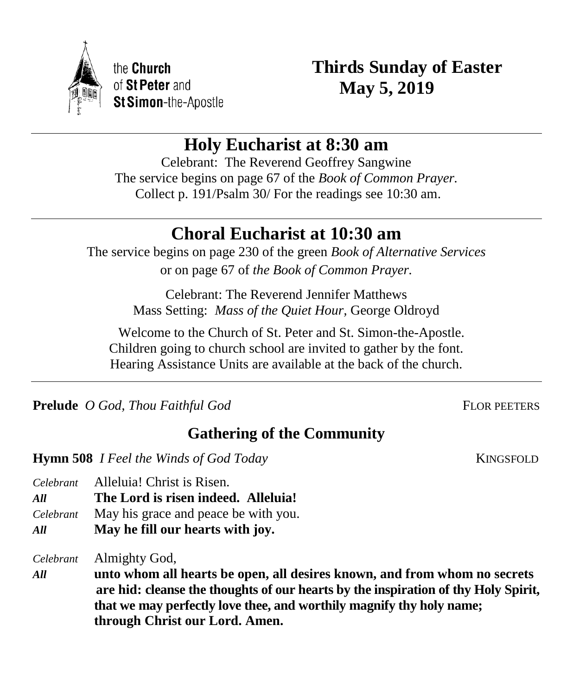

the Church of St Peter and St Simon-the-Apostle **Thirds Sunday of Easter May 5, 2019**

# **Holy Eucharist at 8:30 am**

Celebrant: The Reverend Geoffrey Sangwine The service begins on page 67 of the *Book of Common Prayer.* Collect p. 191/Psalm 30/ For the readings see 10:30 am.

# **Choral Eucharist at 10:30 am**

The service begins on page 230 of the green *Book of Alternative Services* or on page 67 of *the Book of Common Prayer.*

> Celebrant: The Reverend Jennifer Matthews Mass Setting: *Mass of the Quiet Hour,* George Oldroyd

 Welcome to the Church of St. Peter and St. Simon-the-Apostle. Children going to church school are invited to gather by the font. Hearing Assistance Units are available at the back of the church.

**Prelude** *O God, Thou Faithful God* FLOR PEETERS

**Gathering of the Community**

**Hymn 508** *I Feel the Winds of God Today* KINGSFOLD

*Celebrant* Alleluia! Christ is Risen.

*All* **The Lord is risen indeed. Alleluia!**

- *Celebrant* May his grace and peace be with you.
- *All* **May he fill our hearts with joy.**

*Celebrant* Almighty God,

*All* **unto whom all hearts be open, all desires known, and from whom no secrets are hid: cleanse the thoughts of our hearts by the inspiration of thy Holy Spirit, that we may perfectly love thee, and worthily magnify thy holy name; through Christ our Lord. Amen.**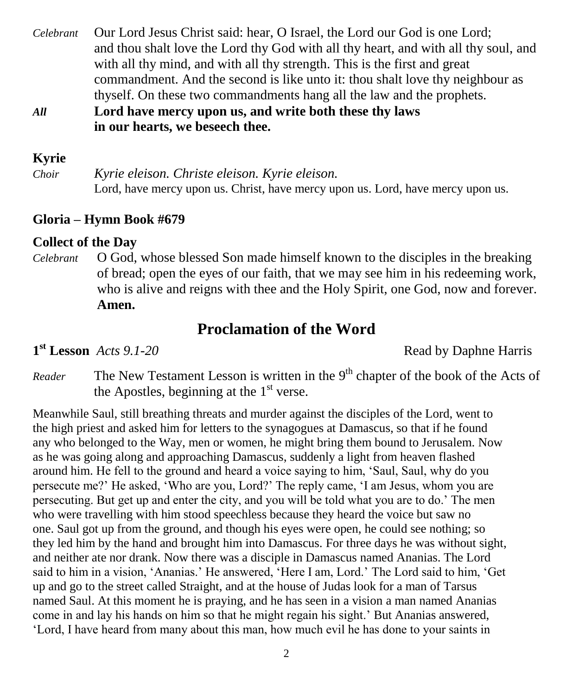- *Celebrant* Our Lord Jesus Christ said: hear, O Israel, the Lord our God is one Lord; and thou shalt love the Lord thy God with all thy heart, and with all thy soul, and with all thy mind, and with all thy strength. This is the first and great commandment. And the second is like unto it: thou shalt love thy neighbour as thyself. On these two commandments hang all the law and the prophets.
- *All* **Lord have mercy upon us, and write both these thy laws in our hearts, we beseech thee.**

#### **Kyrie**

*Choir Kyrie eleison. Christe eleison. Kyrie eleison.*  Lord, have mercy upon us. Christ, have mercy upon us. Lord, have mercy upon us.

### **Gloria – Hymn Book #679**

### **Collect of the Day**

*Celebrant* O God, whose blessed Son made himself known to the disciples in the breaking of bread; open the eyes of our faith, that we may see him in his redeeming work, who is alive and reigns with thee and the Holy Spirit, one God, now and forever. **Amen.**

## **Proclamation of the Word**

 $1<sup>st</sup>$ **Lesson** *Acts* 9.1-20

**Read by Daphne Harris** 

Reader The New Testament Lesson is written in the 9<sup>th</sup> chapter of the book of the Acts of the Apostles, beginning at the  $1<sup>st</sup>$  verse.

Meanwhile Saul, still breathing threats and murder against the disciples of the Lord, went to the high priest and asked him for letters to the synagogues at Damascus, so that if he found any who belonged to the Way, men or women, he might bring them bound to Jerusalem. Now as he was going along and approaching Damascus, suddenly a light from heaven flashed around him. He fell to the ground and heard a voice saying to him, 'Saul, Saul, why do you persecute me?' He asked, 'Who are you, Lord?' The reply came, 'I am Jesus, whom you are persecuting. But get up and enter the city, and you will be told what you are to do.' The men who were travelling with him stood speechless because they heard the voice but saw no one. Saul got up from the ground, and though his eyes were open, he could see nothing; so they led him by the hand and brought him into Damascus. For three days he was without sight, and neither ate nor drank. Now there was a disciple in Damascus named Ananias. The Lord said to him in a vision, 'Ananias.' He answered, 'Here I am, Lord.' The Lord said to him, 'Get up and go to the street called Straight, and at the house of Judas look for a man of Tarsus named Saul. At this moment he is praying, and he has seen in a vision a man named Ananias come in and lay his hands on him so that he might regain his sight.' But Ananias answered, 'Lord, I have heard from many about this man, how much evil he has done to your saints in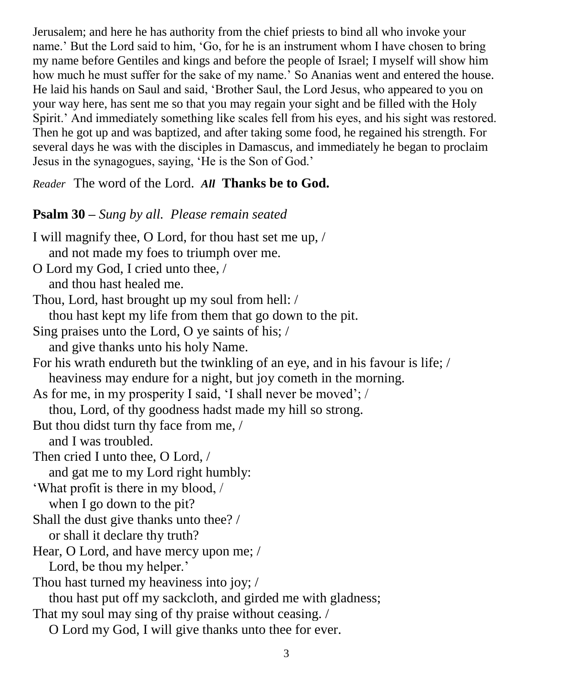Jerusalem; and here he has authority from the chief priests to bind all who invoke your name.' But the Lord said to him, 'Go, for he is an instrument whom I have chosen to bring my name before Gentiles and kings and before the people of Israel; I myself will show him how much he must suffer for the sake of my name.' So Ananias went and entered the house. He laid his hands on Saul and said, 'Brother Saul, the Lord Jesus, who appeared to you on your way here, has sent me so that you may regain your sight and be filled with the Holy Spirit.' And immediately something like scales fell from his eyes, and his sight was restored. Then he got up and was baptized, and after taking some food, he regained his strength. For several days he was with the disciples in Damascus, and immediately he began to proclaim Jesus in the synagogues, saying, 'He is the Son of God.'

*Reader* The word of the Lord. *All* **Thanks be to God.**

### **Psalm 30 –** *Sung by all. Please remain seated*

I will magnify thee, O Lord, for thou hast set me up, / and not made my foes to triumph over me. O Lord my God, I cried unto thee, / and thou hast healed me. Thou, Lord, hast brought up my soul from hell: / thou hast kept my life from them that go down to the pit. Sing praises unto the Lord, O ye saints of his; / and give thanks unto his holy Name. For his wrath endureth but the twinkling of an eye, and in his favour is life; / heaviness may endure for a night, but joy cometh in the morning. As for me, in my prosperity I said, 'I shall never be moved'; / thou, Lord, of thy goodness hadst made my hill so strong. But thou didst turn thy face from me, / and I was troubled. Then cried I unto thee, O Lord, / and gat me to my Lord right humbly: 'What profit is there in my blood, / when I go down to the pit? Shall the dust give thanks unto thee? / or shall it declare thy truth? Hear, O Lord, and have mercy upon me; / Lord, be thou my helper.' Thou hast turned my heaviness into joy; / thou hast put off my sackcloth, and girded me with gladness; That my soul may sing of thy praise without ceasing. / O Lord my God, I will give thanks unto thee for ever.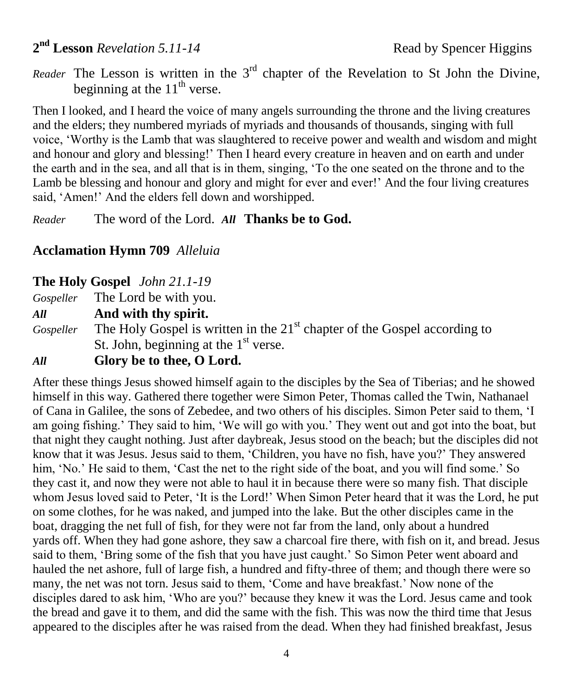## 2<sup>nd</sup> Lesson *Revelation 5.11-14* Read by Spencer Higgins

*Reader* The Lesson is written in the  $3<sup>rd</sup>$  chapter of the Revelation to St John the Divine, beginning at the  $11<sup>th</sup>$  verse.

Then I looked, and I heard the voice of many angels surrounding the throne and the living creatures and the elders; they numbered myriads of myriads and thousands of thousands, singing with full voice, 'Worthy is the Lamb that was slaughtered to receive power and wealth and wisdom and might and honour and glory and blessing!' Then I heard every creature in heaven and on earth and under the earth and in the sea, and all that is in them, singing, 'To the one seated on the throne and to the Lamb be blessing and honour and glory and might for ever and ever!' And the four living creatures said, 'Amen!' And the elders fell down and worshipped.

*Reader* The word of the Lord. *All* **Thanks be to God.**

### **Acclamation Hymn 709** *Alleluia*

**The Holy Gospel** *John 21.1-19*

*Gospeller* The Lord be with you.

*All* **And with thy spirit.**

*Gospeller* The Holy Gospel is written in the 21<sup>st</sup> chapter of the Gospel according to St. John, beginning at the 1<sup>st</sup> verse.

### *All* **Glory be to thee, O Lord.**

After these things Jesus showed himself again to the disciples by the Sea of Tiberias; and he showed himself in this way. Gathered there together were Simon Peter, Thomas called the Twin, Nathanael of Cana in Galilee, the sons of Zebedee, and two others of his disciples. Simon Peter said to them, 'I am going fishing.' They said to him, 'We will go with you.' They went out and got into the boat, but that night they caught nothing. Just after daybreak, Jesus stood on the beach; but the disciples did not know that it was Jesus. Jesus said to them, 'Children, you have no fish, have you?' They answered him, 'No.' He said to them, 'Cast the net to the right side of the boat, and you will find some.' So they cast it, and now they were not able to haul it in because there were so many fish. That disciple whom Jesus loved said to Peter, 'It is the Lord!' When Simon Peter heard that it was the Lord, he put on some clothes, for he was naked, and jumped into the lake. But the other disciples came in the boat, dragging the net full of fish, for they were not far from the land, only about a hundred yards off. When they had gone ashore, they saw a charcoal fire there, with fish on it, and bread. Jesus said to them, 'Bring some of the fish that you have just caught.' So Simon Peter went aboard and hauled the net ashore, full of large fish, a hundred and fifty-three of them; and though there were so many, the net was not torn. Jesus said to them, 'Come and have breakfast.' Now none of the disciples dared to ask him, 'Who are you?' because they knew it was the Lord. Jesus came and took the bread and gave it to them, and did the same with the fish. This was now the third time that Jesus appeared to the disciples after he was raised from the dead. When they had finished breakfast, Jesus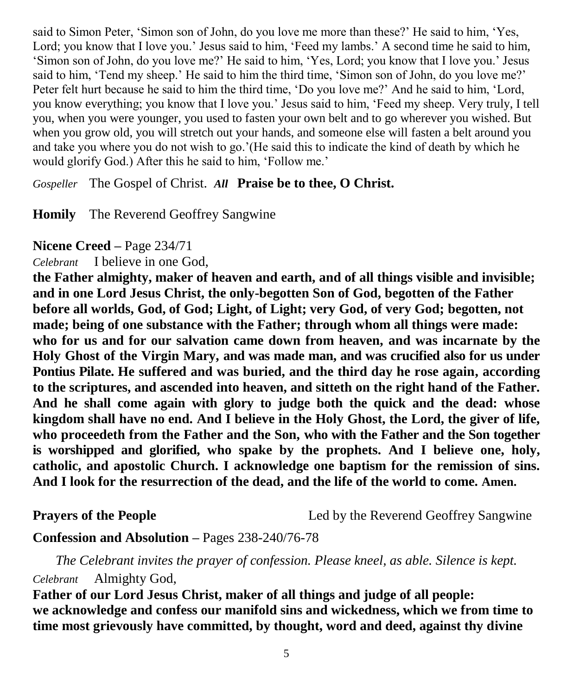said to Simon Peter, 'Simon son of John, do you love me more than these?' He said to him, 'Yes, Lord; you know that I love you.' Jesus said to him, 'Feed my lambs.' A second time he said to him, 'Simon son of John, do you love me?' He said to him, 'Yes, Lord; you know that I love you.' Jesus said to him, 'Tend my sheep.' He said to him the third time, 'Simon son of John, do you love me?' Peter felt hurt because he said to him the third time, 'Do you love me?' And he said to him, 'Lord, you know everything; you know that I love you.' Jesus said to him, 'Feed my sheep. Very truly, I tell you, when you were younger, you used to fasten your own belt and to go wherever you wished. But when you grow old, you will stretch out your hands, and someone else will fasten a belt around you and take you where you do not wish to go.'(He said this to indicate the kind of death by which he would glorify God.) After this he said to him, 'Follow me.'

*Gospeller* The Gospel of Christ. *All* **Praise be to thee, O Christ.**

**Homily** The Reverend Geoffrey Sangwine

**Nicene Creed –** Page 234/71

*Celebrant* I believe in one God,

**the Father almighty, maker of heaven and earth, and of all things visible and invisible; and in one Lord Jesus Christ, the only-begotten Son of God, begotten of the Father before all worlds, God, of God; Light, of Light; very God, of very God; begotten, not made; being of one substance with the Father; through whom all things were made: who for us and for our salvation came down from heaven, and was incarnate by the Holy Ghost of the Virgin Mary, and was made man, and was crucified also for us under Pontius Pilate. He suffered and was buried, and the third day he rose again, according to the scriptures, and ascended into heaven, and sitteth on the right hand of the Father. And he shall come again with glory to judge both the quick and the dead: whose kingdom shall have no end. And I believe in the Holy Ghost, the Lord, the giver of life, who proceedeth from the Father and the Son, who with the Father and the Son together is worshipped and glorified, who spake by the prophets. And I believe one, holy, catholic, and apostolic Church. I acknowledge one baptism for the remission of sins. And I look for the resurrection of the dead, and the life of the world to come. Amen.**

**Prayers of the People** 2012 Led by the Reverend Geoffrey Sangwine

**Confession and Absolution –** Pages 238-240/76-78

*The Celebrant invites the prayer of confession. Please kneel, as able. Silence is kept.*

*Celebrant* Almighty God,

**Father of our Lord Jesus Christ, maker of all things and judge of all people: we acknowledge and confess our manifold sins and wickedness, which we from time to time most grievously have committed, by thought, word and deed, against thy divine**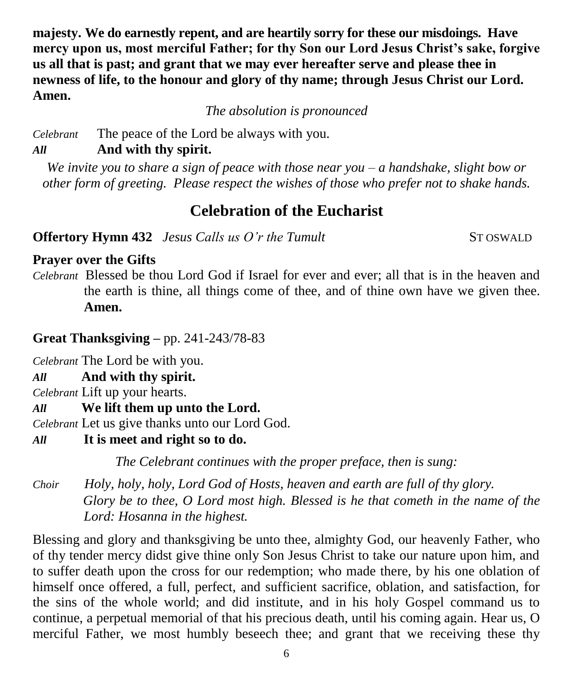**majesty. We do earnestly repent, and are heartily sorry for these our misdoings. Have mercy upon us, most merciful Father; for thy Son our Lord Jesus Christ's sake, forgive us all that is past; and grant that we may ever hereafter serve and please thee in newness of life, to the honour and glory of thy name; through Jesus Christ our Lord. Amen.**

*The absolution is pronounced*

*Celebrant* The peace of the Lord be always with you.

### *All* **And with thy spirit.**

*We invite you to share a sign of peace with those near you – a handshake, slight bow or other form of greeting. Please respect the wishes of those who prefer not to shake hands.*

## **Celebration of the Eucharist**

**Offertory Hymn 432** *Jesus Calls us O'r the Tumult* ST OSWALD

## **Prayer over the Gifts**

*Celebrant* Blessed be thou Lord God if Israel for ever and ever; all that is in the heaven and the earth is thine, all things come of thee, and of thine own have we given thee. **Amen.**

## **Great Thanksgiving –** pp. 241-243/78-83

*Celebrant* The Lord be with you.

## *All* **And with thy spirit.**

*Celebrant* Lift up your hearts.

*All* **We lift them up unto the Lord.** 

*Celebrant* Let us give thanks unto our Lord God.

*All* **It is meet and right so to do.** 

*The Celebrant continues with the proper preface, then is sung:*

*Choir Holy, holy, holy, Lord God of Hosts, heaven and earth are full of thy glory. Glory be to thee, O Lord most high. Blessed is he that cometh in the name of the Lord: Hosanna in the highest.*

Blessing and glory and thanksgiving be unto thee, almighty God, our heavenly Father, who of thy tender mercy didst give thine only Son Jesus Christ to take our nature upon him, and to suffer death upon the cross for our redemption; who made there, by his one oblation of himself once offered, a full, perfect, and sufficient sacrifice, oblation, and satisfaction, for the sins of the whole world; and did institute, and in his holy Gospel command us to continue, a perpetual memorial of that his precious death, until his coming again. Hear us, O merciful Father, we most humbly beseech thee; and grant that we receiving these thy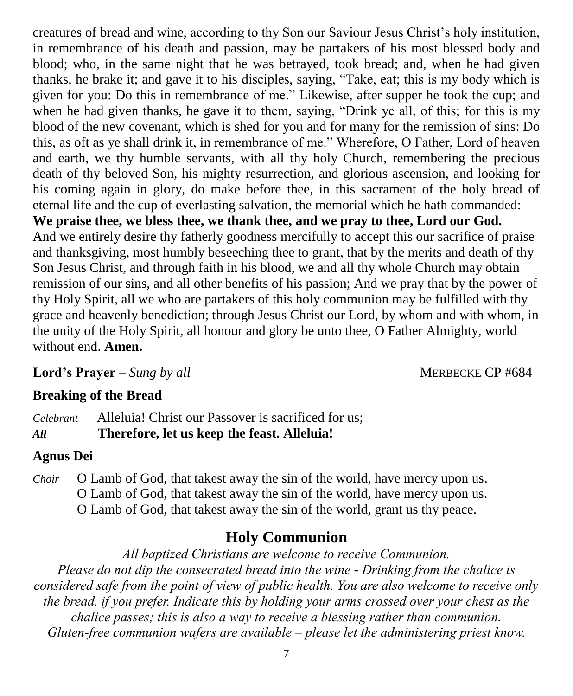creatures of bread and wine, according to thy Son our Saviour Jesus Christ's holy institution, in remembrance of his death and passion, may be partakers of his most blessed body and blood; who, in the same night that he was betrayed, took bread; and, when he had given thanks, he brake it; and gave it to his disciples, saying, "Take, eat; this is my body which is given for you: Do this in remembrance of me." Likewise, after supper he took the cup; and when he had given thanks, he gave it to them, saying, "Drink ye all, of this; for this is my blood of the new covenant, which is shed for you and for many for the remission of sins: Do this, as oft as ye shall drink it, in remembrance of me." Wherefore, O Father, Lord of heaven and earth, we thy humble servants, with all thy holy Church, remembering the precious death of thy beloved Son, his mighty resurrection, and glorious ascension, and looking for his coming again in glory, do make before thee, in this sacrament of the holy bread of eternal life and the cup of everlasting salvation, the memorial which he hath commanded: **We praise thee, we bless thee, we thank thee, and we pray to thee, Lord our God.**  And we entirely desire thy fatherly goodness mercifully to accept this our sacrifice of praise and thanksgiving, most humbly beseeching thee to grant, that by the merits and death of thy Son Jesus Christ, and through faith in his blood, we and all thy whole Church may obtain remission of our sins, and all other benefits of his passion; And we pray that by the power of thy Holy Spirit, all we who are partakers of this holy communion may be fulfilled with thy grace and heavenly benediction; through Jesus Christ our Lord, by whom and with whom, in the unity of the Holy Spirit, all honour and glory be unto thee, O Father Almighty, world without end. **Amen.**

**Lord's Prayer** – *Sung by all* MERBECKE CP #684

### **Breaking of the Bread**

*Celebrant* Alleluia! Christ our Passover is sacrificed for us; *All* **Therefore, let us keep the feast. Alleluia!**

### **Agnus Dei**

*Choir* O Lamb of God, that takest away the sin of the world, have mercy upon us. O Lamb of God, that takest away the sin of the world, have mercy upon us. O Lamb of God, that takest away the sin of the world, grant us thy peace.

## **Holy Communion**

*All baptized Christians are welcome to receive Communion. Please do not dip the consecrated bread into the wine - Drinking from the chalice is considered safe from the point of view of public health. You are also welcome to receive only the bread, if you prefer. Indicate this by holding your arms crossed over your chest as the chalice passes; this is also a way to receive a blessing rather than communion. Gluten-free communion wafers are available – please let the administering priest know.*